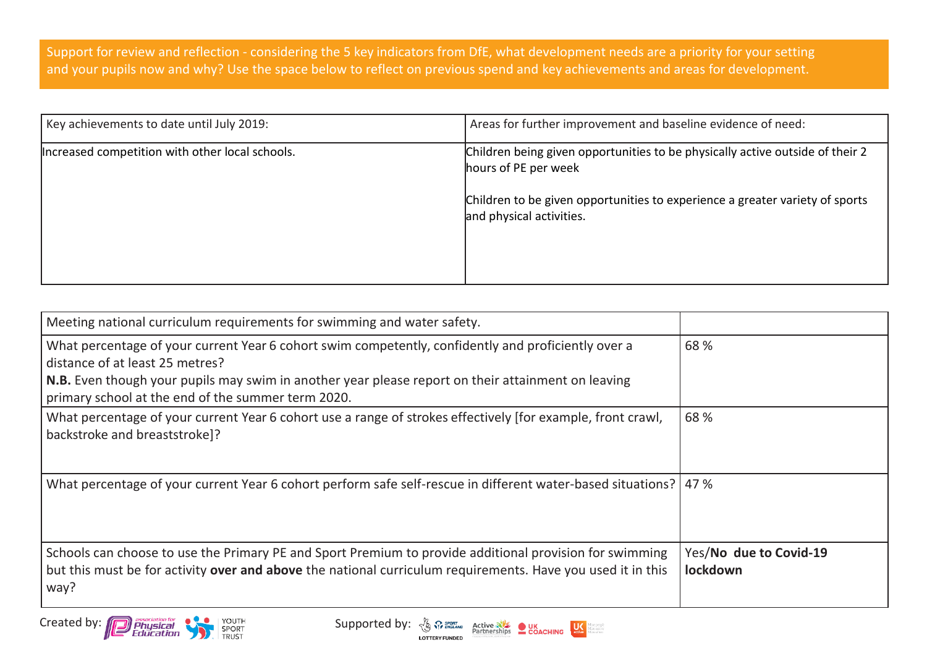Support for review and reflection - considering the 5 key indicators from DfE, what development needs are a priority for your setting and your pupils now and why? Use the space below to reflect on previous spend and key achievements and areas for development.

| Key achievements to date until July 2019:       | Areas for further improvement and baseline evidence of need:                                                                                                                                                      |
|-------------------------------------------------|-------------------------------------------------------------------------------------------------------------------------------------------------------------------------------------------------------------------|
| Increased competition with other local schools. | Children being given opportunities to be physically active outside of their 2<br>hours of PE per week<br>Children to be given opportunities to experience a greater variety of sports<br>and physical activities. |
|                                                 |                                                                                                                                                                                                                   |

| Meeting national curriculum requirements for swimming and water safety.                                                                                                                                                        |                                    |
|--------------------------------------------------------------------------------------------------------------------------------------------------------------------------------------------------------------------------------|------------------------------------|
| What percentage of your current Year 6 cohort swim competently, confidently and proficiently over a<br>distance of at least 25 metres?                                                                                         | 68 %                               |
| N.B. Even though your pupils may swim in another year please report on their attainment on leaving<br>primary school at the end of the summer term 2020.                                                                       |                                    |
| What percentage of your current Year 6 cohort use a range of strokes effectively [for example, front crawl,<br>backstroke and breaststroke]?                                                                                   | 68 %                               |
| What percentage of your current Year 6 cohort perform safe self-rescue in different water-based situations?   47 %                                                                                                             |                                    |
| Schools can choose to use the Primary PE and Sport Premium to provide additional provision for swimming<br>but this must be for activity over and above the national curriculum requirements. Have you used it in this<br>way? | Yes/No due to Covid-19<br>lockdown |

Created by: **Physical Physical Supported by:**  $\frac{1}{2}$  Courth Supported by:  $\frac{1}{2}$  Courses Supported by:  $\frac{1}{2}$  Courses Supported by:  $\frac{1}{2}$  COACHING



 $\left|\bigcup_{\text{active}} \right|$ dore people<br>dore active<br>dore of ten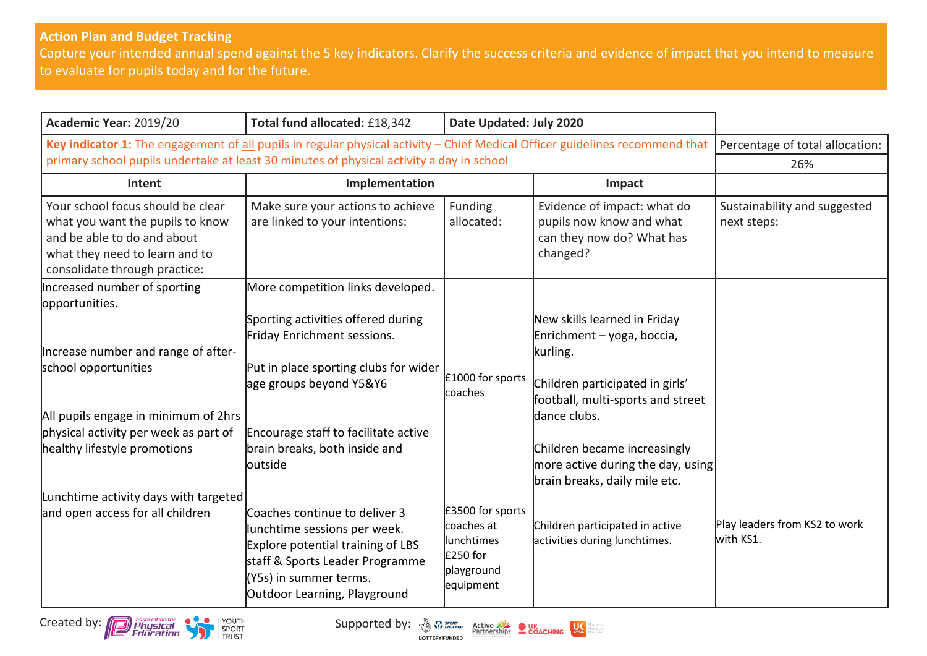## **Action Plan and Budget Tracking**

Capture your intended annual spend against the 5 key indicators. Clarify the success criteria and evidence of impact that you intend to measure to evaluate for pupils today and for the future.

| Academic Year: 2019/20                                                                                                                                                                                                                  | Total fund allocated: £18,342                                                                                                                                                                                              | Date Updated: July 2020                                                             |                                                                                                                                                                                                                                                                      |                                             |
|-----------------------------------------------------------------------------------------------------------------------------------------------------------------------------------------------------------------------------------------|----------------------------------------------------------------------------------------------------------------------------------------------------------------------------------------------------------------------------|-------------------------------------------------------------------------------------|----------------------------------------------------------------------------------------------------------------------------------------------------------------------------------------------------------------------------------------------------------------------|---------------------------------------------|
| Key indicator 1: The engagement of all pupils in regular physical activity - Chief Medical Officer guidelines recommend that                                                                                                            |                                                                                                                                                                                                                            |                                                                                     |                                                                                                                                                                                                                                                                      | Percentage of total allocation:             |
| primary school pupils undertake at least 30 minutes of physical activity a day in school                                                                                                                                                |                                                                                                                                                                                                                            |                                                                                     |                                                                                                                                                                                                                                                                      | 26%                                         |
| Intent                                                                                                                                                                                                                                  | Implementation                                                                                                                                                                                                             |                                                                                     | Impact                                                                                                                                                                                                                                                               |                                             |
| Your school focus should be clear<br>what you want the pupils to know<br>and be able to do and about<br>what they need to learn and to<br>consolidate through practice:                                                                 | Make sure your actions to achieve<br>are linked to your intentions:                                                                                                                                                        | Funding<br>allocated:                                                               | Evidence of impact: what do<br>pupils now know and what<br>can they now do? What has<br>changed?                                                                                                                                                                     | Sustainability and suggested<br>next steps: |
| Increased number of sporting                                                                                                                                                                                                            | More competition links developed.                                                                                                                                                                                          |                                                                                     |                                                                                                                                                                                                                                                                      |                                             |
| opportunities.<br>Increase number and range of after-<br>school opportunities<br>All pupils engage in minimum of 2hrs<br>physical activity per week as part of<br>healthy lifestyle promotions<br>Lunchtime activity days with targeted | Sporting activities offered during<br>Friday Enrichment sessions.<br>Put in place sporting clubs for wider<br>age groups beyond Y5&Y6<br>Encourage staff to facilitate active<br>brain breaks, both inside and<br>loutside | £1000 for sports<br>coaches                                                         | New skills learned in Friday<br>Enrichment - yoga, boccia,<br>kurling.<br>Children participated in girls'<br>football, multi-sports and street<br>dance clubs.<br>Children became increasingly<br>more active during the day, using<br>brain breaks, daily mile etc. |                                             |
| and open access for all children                                                                                                                                                                                                        | Coaches continue to deliver 3<br>lunchtime sessions per week.<br>Explore potential training of LBS<br>staff & Sports Leader Programme<br>(Y5s) in summer terms.<br>Outdoor Learning, Playground                            | £3500 for sports<br>coaches at<br>lunchtimes<br>£250 for<br>playground<br>equipment | Children participated in active<br>activities during lunchtimes.                                                                                                                                                                                                     | Play leaders from KS2 to work<br>with KS1.  |

Created by: **Contract of the Supported by:**  $\frac{1}{2}$  Contract Business Contract Business Contract Business Contract Business Contract Business Contract Business Contract Business Contract Business Contract Business Contra

**LOTTERY FUNDED** 

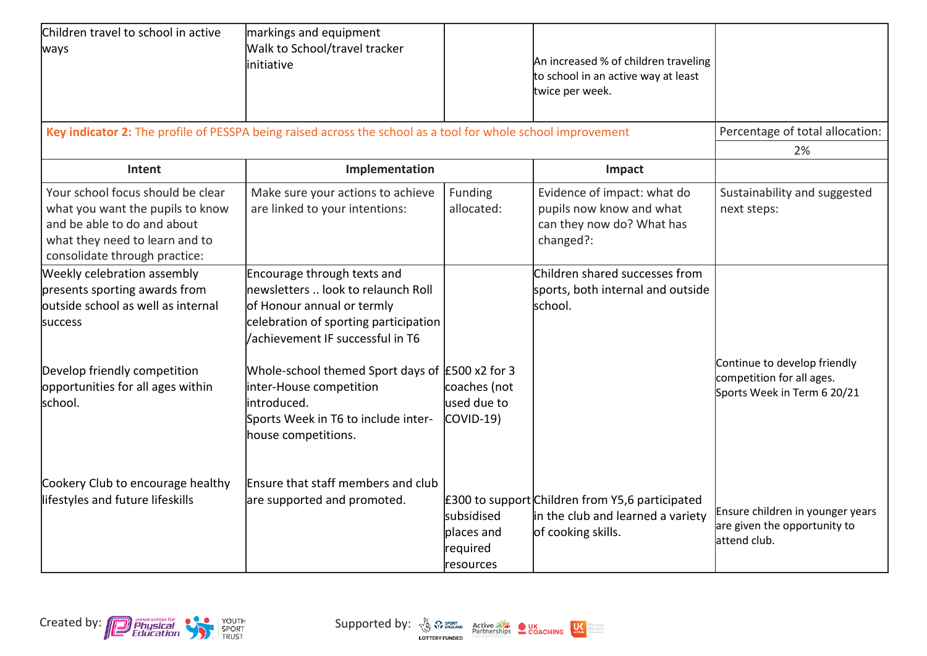| Children travel to school in active<br>ways                                                                                                                                                   | markings and equipment<br>Walk to School/travel tracker<br>linitiative                                                                                                                                                                                                                                                                     |                                                   | An increased % of children traveling<br>to school in an active way at least<br>twice per week.             |                                                                                          |
|-----------------------------------------------------------------------------------------------------------------------------------------------------------------------------------------------|--------------------------------------------------------------------------------------------------------------------------------------------------------------------------------------------------------------------------------------------------------------------------------------------------------------------------------------------|---------------------------------------------------|------------------------------------------------------------------------------------------------------------|------------------------------------------------------------------------------------------|
|                                                                                                                                                                                               | Key indicator 2: The profile of PESSPA being raised across the school as a tool for whole school improvement                                                                                                                                                                                                                               |                                                   |                                                                                                            | Percentage of total allocation:                                                          |
|                                                                                                                                                                                               |                                                                                                                                                                                                                                                                                                                                            |                                                   |                                                                                                            | 2%                                                                                       |
| Intent                                                                                                                                                                                        | Implementation                                                                                                                                                                                                                                                                                                                             |                                                   | Impact                                                                                                     |                                                                                          |
| Your school focus should be clear<br>what you want the pupils to know<br>and be able to do and about<br>what they need to learn and to<br>consolidate through practice:                       | Make sure your actions to achieve<br>are linked to your intentions:                                                                                                                                                                                                                                                                        | Funding<br>allocated:                             | Evidence of impact: what do<br>pupils now know and what<br>can they now do? What has<br>changed?:          | Sustainability and suggested<br>next steps:                                              |
| Weekly celebration assembly<br>presents sporting awards from<br>outside school as well as internal<br>success<br>Develop friendly competition<br>opportunities for all ages within<br>school. | Encourage through texts and<br>lnewsletters  look to relaunch Roll<br>of Honour annual or termly<br>celebration of sporting participation<br>achievement IF successful in T6<br>Whole-school themed Sport days of $E$ 500 x2 for 3<br>inter-House competition<br>introduced.<br>Sports Week in T6 to include inter-<br>house competitions. | coaches (not<br>lused due to<br>COVID-19)         | Children shared successes from<br>sports, both internal and outside<br>school.                             | Continue to develop friendly<br>competition for all ages.<br>Sports Week in Term 6 20/21 |
| Cookery Club to encourage healthy<br>lifestyles and future lifeskills                                                                                                                         | Ensure that staff members and club<br>are supported and promoted.                                                                                                                                                                                                                                                                          | subsidised<br>places and<br>required<br>resources | £300 to support Children from Y5,6 participated<br>in the club and learned a variety<br>of cooking skills. | Ensure children in younger years<br>are given the opportunity to<br>attend club.         |

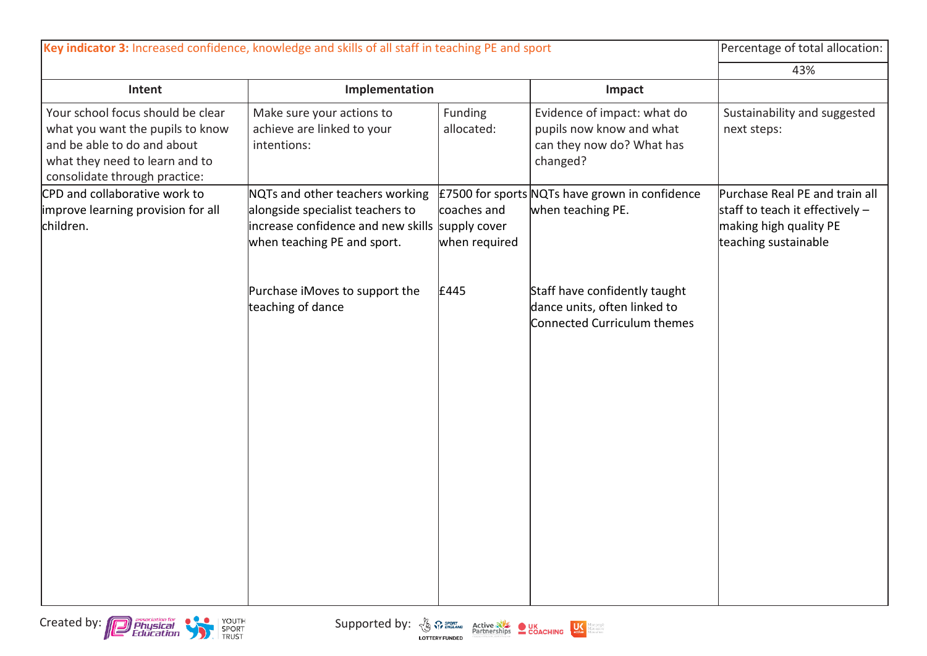| Key indicator 3: Increased confidence, knowledge and skills of all staff in teaching PE and sport                                                                       |                                                                                                                                                       | Percentage of total allocation: |                                                                                                  |                                                                                                                       |
|-------------------------------------------------------------------------------------------------------------------------------------------------------------------------|-------------------------------------------------------------------------------------------------------------------------------------------------------|---------------------------------|--------------------------------------------------------------------------------------------------|-----------------------------------------------------------------------------------------------------------------------|
|                                                                                                                                                                         |                                                                                                                                                       |                                 |                                                                                                  | 43%                                                                                                                   |
| Intent                                                                                                                                                                  | Implementation                                                                                                                                        |                                 | Impact                                                                                           |                                                                                                                       |
| Your school focus should be clear<br>what you want the pupils to know<br>and be able to do and about<br>what they need to learn and to<br>consolidate through practice: | Make sure your actions to<br>achieve are linked to your<br>intentions:                                                                                | Funding<br>allocated:           | Evidence of impact: what do<br>pupils now know and what<br>can they now do? What has<br>changed? | Sustainability and suggested<br>next steps:                                                                           |
| CPD and collaborative work to<br>improve learning provision for all<br>children.                                                                                        | NQTs and other teachers working<br>alongside specialist teachers to<br>increase confidence and new skills supply cover<br>when teaching PE and sport. | coaches and<br>when required    | £7500 for sports NQTs have grown in confidence<br>when teaching PE.                              | Purchase Real PE and train all<br>staff to teach it effectively $-$<br>making high quality PE<br>teaching sustainable |
|                                                                                                                                                                         | Purchase iMoves to support the<br>teaching of dance                                                                                                   | £445                            | Staff have confidently taught<br>dance units, often linked to<br>Connected Curriculum themes     |                                                                                                                       |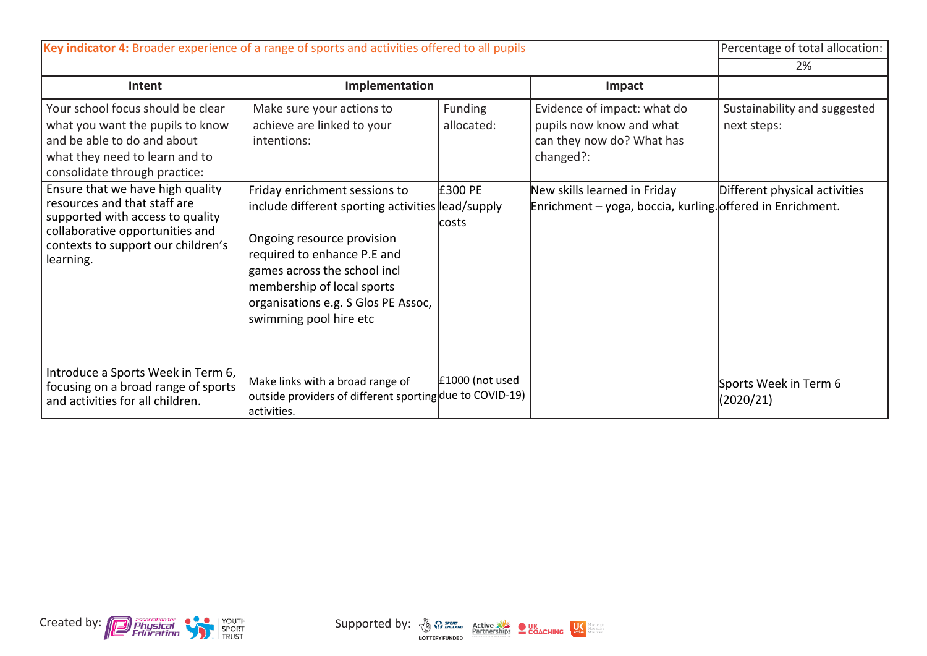| Key indicator 4: Broader experience of a range of sports and activities offered to all pupils                                                                                              |                                                                                                                                                                                                                                                                                |                              | Percentage of total allocation:                                                                   |                                             |
|--------------------------------------------------------------------------------------------------------------------------------------------------------------------------------------------|--------------------------------------------------------------------------------------------------------------------------------------------------------------------------------------------------------------------------------------------------------------------------------|------------------------------|---------------------------------------------------------------------------------------------------|---------------------------------------------|
|                                                                                                                                                                                            |                                                                                                                                                                                                                                                                                |                              | 2%                                                                                                |                                             |
| Intent                                                                                                                                                                                     | Implementation                                                                                                                                                                                                                                                                 |                              | Impact                                                                                            |                                             |
| Your school focus should be clear<br>what you want the pupils to know<br>and be able to do and about<br>what they need to learn and to<br>consolidate through practice:                    | Make sure your actions to<br>achieve are linked to your<br>intentions:                                                                                                                                                                                                         | <b>Funding</b><br>allocated: | Evidence of impact: what do<br>pupils now know and what<br>can they now do? What has<br>changed?: | Sustainability and suggested<br>next steps: |
| Ensure that we have high quality<br>resources and that staff are<br>supported with access to quality<br>collaborative opportunities and<br>contexts to support our children's<br>learning. | Friday enrichment sessions to<br>include different sporting activities lead/supply<br>Ongoing resource provision<br>required to enhance P.E and<br>games across the school incl<br>membership of local sports<br>organisations e.g. S Glos PE Assoc,<br>swimming pool hire etc | <b>E300 PE</b><br>costs      | New skills learned in Friday<br>Enrichment - yoga, boccia, kurling. offered in Enrichment.        | Different physical activities               |
| Introduce a Sports Week in Term 6,<br>focusing on a broad range of sports<br>and activities for all children.                                                                              | Make links with a broad range of<br>outside providers of different sporting due to COVID-19)<br>activities.                                                                                                                                                                    | £1000 (not used              |                                                                                                   | Sports Week in Term 6<br>(2020/21)          |